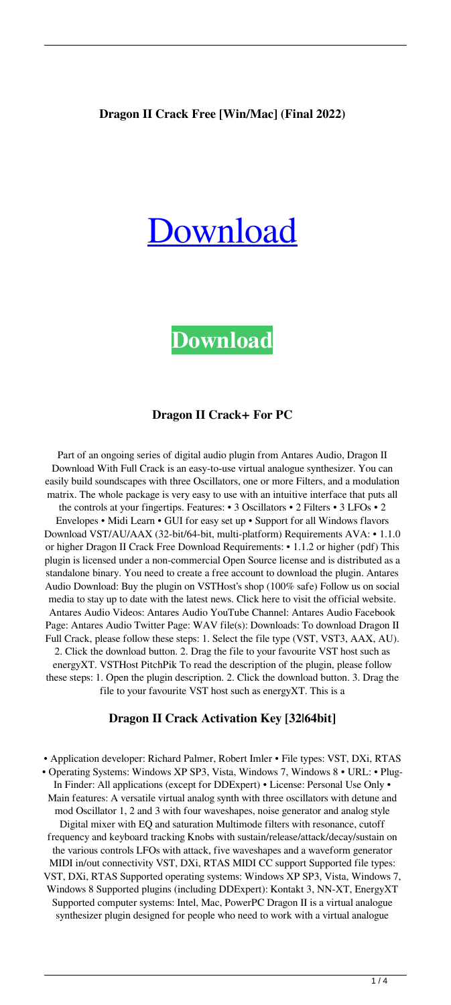## **Dragon II Crack Free [Win/Mac] (Final 2022)**

# [Download](http://evacdir.com/catapulted/colluding/bullitt.RHJhZ29uIElJRHJ?constrained=ZG93bmxvYWR8SFM5TjNoMU5YeDhNVFkxTkRRek5qWTFPSHg4TWpVNU1IeDhLRTBwSUZkdmNtUndjbVZ6Y3lCYldFMU1VbEJESUZZeUlGQkVSbDA&continuing=&crating=asymmetrically)

**[Download](http://evacdir.com/catapulted/colluding/bullitt.RHJhZ29uIElJRHJ?constrained=ZG93bmxvYWR8SFM5TjNoMU5YeDhNVFkxTkRRek5qWTFPSHg4TWpVNU1IeDhLRTBwSUZkdmNtUndjbVZ6Y3lCYldFMU1VbEJESUZZeUlGQkVSbDA&continuing=&crating=asymmetrically)**

## **Dragon II Crack+ For PC**

Part of an ongoing series of digital audio plugin from Antares Audio, Dragon II Download With Full Crack is an easy-to-use virtual analogue synthesizer. You can easily build soundscapes with three Oscillators, one or more Filters, and a modulation matrix. The whole package is very easy to use with an intuitive interface that puts all the controls at your fingertips. Features: • 3 Oscillators • 2 Filters • 3 LFOs • 2 Envelopes • Midi Learn • GUI for easy set up • Support for all Windows flavors Download VST/AU/AAX (32-bit/64-bit, multi-platform) Requirements AVA: • 1.1.0 or higher Dragon II Crack Free Download Requirements: • 1.1.2 or higher (pdf) This plugin is licensed under a non-commercial Open Source license and is distributed as a standalone binary. You need to create a free account to download the plugin. Antares Audio Download: Buy the plugin on VSTHost's shop (100% safe) Follow us on social media to stay up to date with the latest news. Click here to visit the official website. Antares Audio Videos: Antares Audio YouTube Channel: Antares Audio Facebook Page: Antares Audio Twitter Page: WAV file(s): Downloads: To download Dragon II Full Crack, please follow these steps: 1. Select the file type (VST, VST3, AAX, AU). 2. Click the download button. 2. Drag the file to your favourite VST host such as energyXT. VSTHost PitchPik To read the description of the plugin, please follow these steps: 1. Open the plugin description. 2. Click the download button. 3. Drag the file to your favourite VST host such as energyXT. This is a

#### **Dragon II Crack Activation Key [32|64bit]**

• Application developer: Richard Palmer, Robert Imler • File types: VST, DXi, RTAS • Operating Systems: Windows XP SP3, Vista, Windows 7, Windows 8 • URL: • Plug-In Finder: All applications (except for DDExpert) • License: Personal Use Only • Main features: A versatile virtual analog synth with three oscillators with detune and mod Oscillator 1, 2 and 3 with four waveshapes, noise generator and analog style Digital mixer with EQ and saturation Multimode filters with resonance, cutoff frequency and keyboard tracking Knobs with sustain/release/attack/decay/sustain on the various controls LFOs with attack, five waveshapes and a waveform generator MIDI in/out connectivity VST, DXi, RTAS MIDI CC support Supported file types: VST, DXi, RTAS Supported operating systems: Windows XP SP3, Vista, Windows 7, Windows 8 Supported plugins (including DDExpert): Kontakt 3, NN-XT, EnergyXT Supported computer systems: Intel, Mac, PowerPC Dragon II is a virtual analogue synthesizer plugin designed for people who need to work with a virtual analogue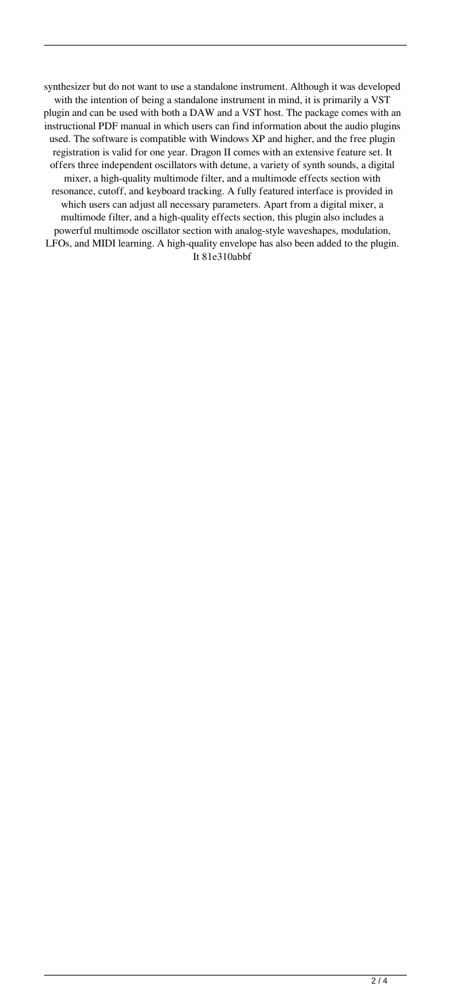synthesizer but do not want to use a standalone instrument. Although it was developed with the intention of being a standalone instrument in mind, it is primarily a VST plugin and can be used with both a DAW and a VST host. The package comes with an instructional PDF manual in which users can find information about the audio plugins used. The software is compatible with Windows XP and higher, and the free plugin registration is valid for one year. Dragon II comes with an extensive feature set. It offers three independent oscillators with detune, a variety of synth sounds, a digital mixer, a high-quality multimode filter, and a multimode effects section with resonance, cutoff, and keyboard tracking. A fully featured interface is provided in which users can adjust all necessary parameters. Apart from a digital mixer, a multimode filter, and a high-quality effects section, this plugin also includes a powerful multimode oscillator section with analog-style waveshapes, modulation, LFOs, and MIDI learning. A high-quality envelope has also been added to the plugin. It 81e310abbf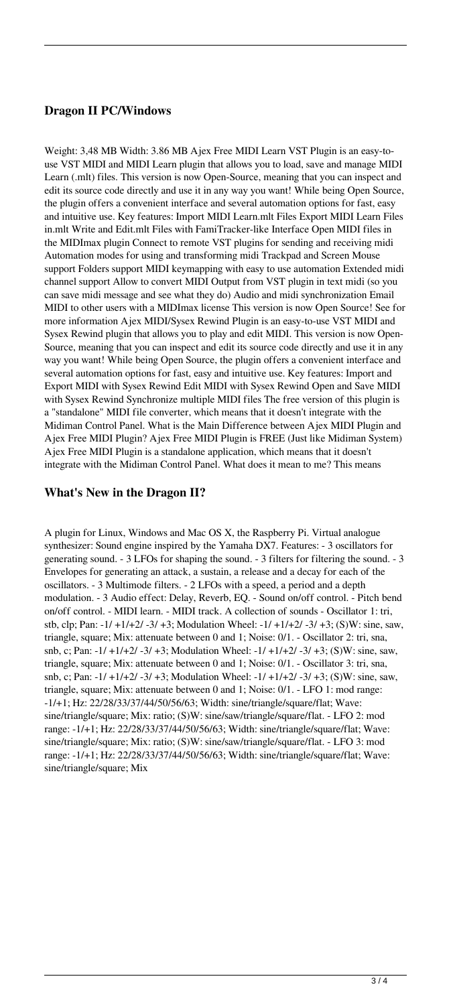## **Dragon II PC/Windows**

Weight: 3,48 MB Width: 3.86 MB Ajex Free MIDI Learn VST Plugin is an easy-touse VST MIDI and MIDI Learn plugin that allows you to load, save and manage MIDI Learn (.mlt) files. This version is now Open-Source, meaning that you can inspect and edit its source code directly and use it in any way you want! While being Open Source, the plugin offers a convenient interface and several automation options for fast, easy and intuitive use. Key features: Import MIDI Learn.mlt Files Export MIDI Learn Files in.mlt Write and Edit.mlt Files with FamiTracker-like Interface Open MIDI files in the MIDImax plugin Connect to remote VST plugins for sending and receiving midi Automation modes for using and transforming midi Trackpad and Screen Mouse support Folders support MIDI keymapping with easy to use automation Extended midi channel support Allow to convert MIDI Output from VST plugin in text midi (so you can save midi message and see what they do) Audio and midi synchronization Email MIDI to other users with a MIDImax license This version is now Open Source! See for more information Ajex MIDI/Sysex Rewind Plugin is an easy-to-use VST MIDI and Sysex Rewind plugin that allows you to play and edit MIDI. This version is now Open-Source, meaning that you can inspect and edit its source code directly and use it in any way you want! While being Open Source, the plugin offers a convenient interface and several automation options for fast, easy and intuitive use. Key features: Import and Export MIDI with Sysex Rewind Edit MIDI with Sysex Rewind Open and Save MIDI with Sysex Rewind Synchronize multiple MIDI files The free version of this plugin is a "standalone" MIDI file converter, which means that it doesn't integrate with the Midiman Control Panel. What is the Main Difference between Ajex MIDI Plugin and Ajex Free MIDI Plugin? Ajex Free MIDI Plugin is FREE (Just like Midiman System) Ajex Free MIDI Plugin is a standalone application, which means that it doesn't integrate with the Midiman Control Panel. What does it mean to me? This means

## **What's New in the Dragon II?**

A plugin for Linux, Windows and Mac OS X, the Raspberry Pi. Virtual analogue synthesizer: Sound engine inspired by the Yamaha DX7. Features: - 3 oscillators for generating sound. - 3 LFOs for shaping the sound. - 3 filters for filtering the sound. - 3 Envelopes for generating an attack, a sustain, a release and a decay for each of the oscillators. - 3 Multimode filters. - 2 LFOs with a speed, a period and a depth modulation. - 3 Audio effect: Delay, Reverb, EQ. - Sound on/off control. - Pitch bend on/off control. - MIDI learn. - MIDI track. A collection of sounds - Oscillator 1: tri, stb, clp; Pan: -1/ +1/+2/ -3/ +3; Modulation Wheel: -1/ +1/+2/ -3/ +3; (S)W: sine, saw, triangle, square; Mix: attenuate between 0 and 1; Noise: 0/1. - Oscillator 2: tri, sna, snb, c; Pan: -1/ +1/+2/ -3/ +3; Modulation Wheel: -1/ +1/+2/ -3/ +3; (S)W: sine, saw, triangle, square; Mix: attenuate between 0 and 1; Noise: 0/1. - Oscillator 3: tri, sna, snb, c; Pan: -1/ +1/+2/ -3/ +3; Modulation Wheel: -1/ +1/+2/ -3/ +3; (S)W: sine, saw, triangle, square; Mix: attenuate between 0 and 1; Noise: 0/1. - LFO 1: mod range: -1/+1; Hz: 22/28/33/37/44/50/56/63; Width: sine/triangle/square/flat; Wave: sine/triangle/square; Mix: ratio; (S)W: sine/saw/triangle/square/flat. - LFO 2: mod range: -1/+1; Hz: 22/28/33/37/44/50/56/63; Width: sine/triangle/square/flat; Wave: sine/triangle/square; Mix: ratio; (S)W: sine/saw/triangle/square/flat. - LFO 3: mod range: -1/+1; Hz: 22/28/33/37/44/50/56/63; Width: sine/triangle/square/flat; Wave: sine/triangle/square; Mix